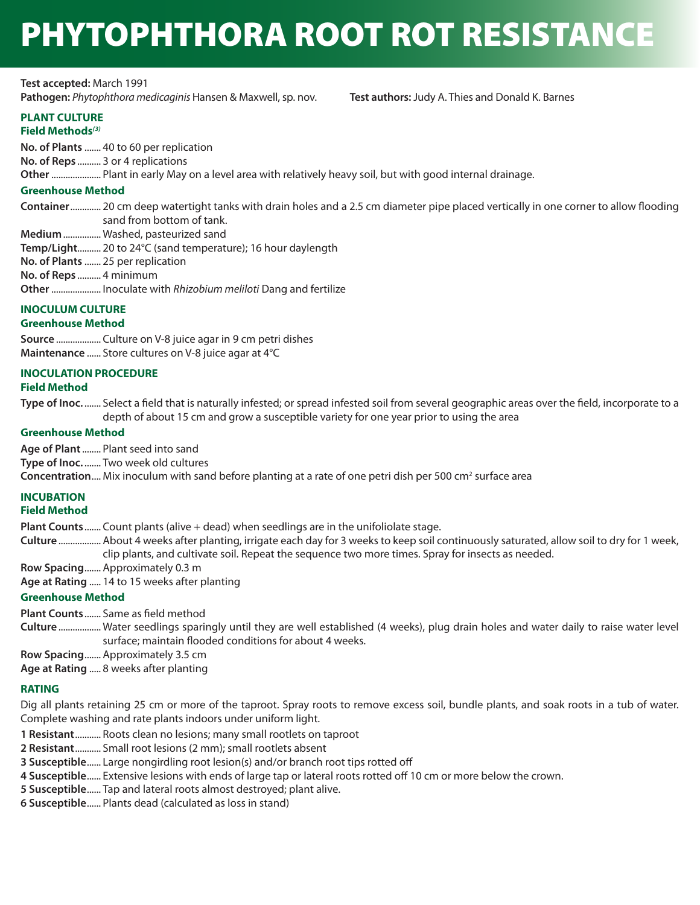# PHYTOPHTHORA ROOT ROT RESISTANCE

**Test accepted:** March 1991 **Pathogen:** *Phytophthora medicaginis* Hansen & Maxwell, sp. nov. **Test authors:** Judy A. Thies and Donald K. Barnes

#### **PLANT CULTURE Field Methods***(3)*

**No. of Plants** ....... 40 to 60 per replication **No. of Reps** .......... 3 or 4 replications

**Other** ..................... Plant in early May on a level area with relatively heavy soil, but with good internal drainage.

#### **Greenhouse Method**

**Container** ............. 20 cm deep watertight tanks with drain holes and a 2.5 cm diameter pipe placed vertically in one corner to allow flooding sand from bottom of tank.

**Medium** ................ Washed, pasteurized sand

**Temp/Light**.......... 20 to 24°C (sand temperature); 16 hour daylength

- **No. of Plants** ....... 25 per replication
- **No. of Reps** .......... 4 minimum

**Other** ..................... Inoculate with *Rhizobium meliloti* Dang and fertilize

## **INOCULUM CULTURE**

### **Greenhouse Method**

**Source** ................... Culture on V-8 juice agar in 9 cm petri dishes **Maintenance** ...... Store cultures on V-8 juice agar at 4°C

#### **INOCULATION PROCEDURE**

### **Field Method**

**Type of Inoc.** ....... Select a field that is naturally infested; or spread infested soil from several geographic areas over the field, incorporate to a depth of about 15 cm and grow a susceptible variety for one year prior to using the area

#### **Greenhouse Method**

**Age of Plant** ........ Plant seed into sand

**Type of Inoc.** ....... Two week old cultures

**Concentration....** Mix inoculum with sand before planting at a rate of one petri dish per 500 cm<sup>2</sup> surface area

#### **INCUBATION**

### **Field Method**

**Plant Counts** ....... Count plants (alive + dead) when seedlings are in the unifoliolate stage.

- **Culture** .................. About 4 weeks after planting, irrigate each day for 3 weeks to keep soil continuously saturated, allow soil to dry for 1 week, clip plants, and cultivate soil. Repeat the sequence two more times. Spray for insects as needed.
- **Row Spacing** ....... Approximately 0.3 m
- **Age at Rating** ..... 14 to 15 weeks after planting

#### **Greenhouse Method**

**Plant Counts** ....... Same as field method

**Culture** .................. Water seedlings sparingly until they are well established (4 weeks), plug drain holes and water daily to raise water level surface; maintain flooded conditions for about 4 weeks.

**Row Spacing** ....... Approximately 3.5 cm

**Age at Rating** ..... 8 weeks after planting

#### **RATING**

Dig all plants retaining 25 cm or more of the taproot. Spray roots to remove excess soil, bundle plants, and soak roots in a tub of water. Complete washing and rate plants indoors under uniform light.

- **1 Resistant** ........... Roots clean no lesions; many small rootlets on taproot
- **2 Resistant** ........... Small root lesions (2 mm); small rootlets absent
- **3 Susceptible** ...... Large nongirdling root lesion(s) and/or branch root tips rotted off
- **4 Susceptible** ...... Extensive lesions with ends of large tap or lateral roots rotted off 10 cm or more below the crown.
- **5 Susceptible** ...... Tap and lateral roots almost destroyed; plant alive.
- **6 Susceptible** ...... Plants dead (calculated as loss in stand)